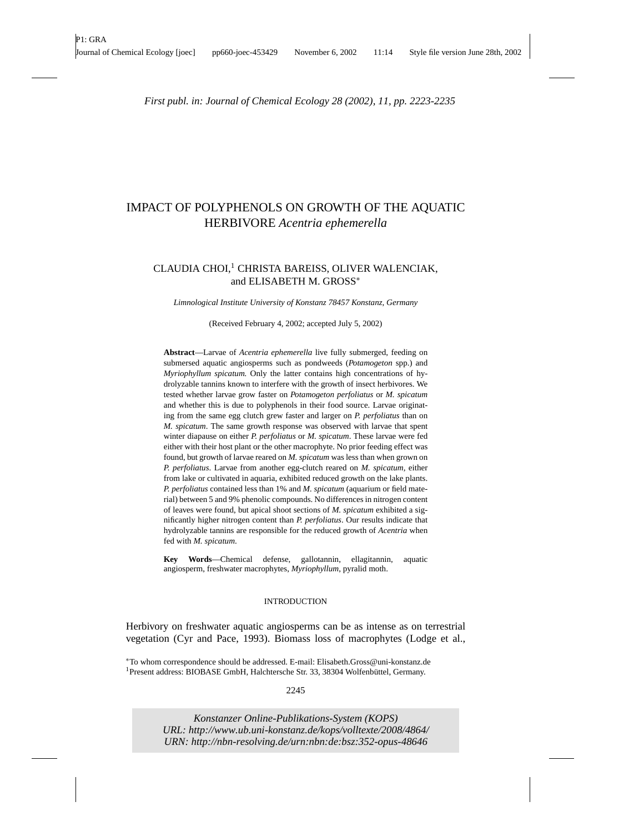# IMPACT OF POLYPHENOLS ON GROWTH OF THE AQUATIC HERBIVORE *Acentria ephemerella*

## CLAUDIA CHOI,<sup>1</sup> CHRISTA BAREISS, OLIVER WALENCIAK, and ELISABETH M. GROSS<sup>∗</sup>

*Limnological Institute University of Konstanz 78457 Konstanz, Germany*

(Received February 4, 2002; accepted July 5, 2002)

**Abstract**—Larvae of *Acentria ephemerella* live fully submerged, feeding on submersed aquatic angiosperms such as pondweeds (*Potamogeton* spp.) and *Myriophyllum spicatum.* Only the latter contains high concentrations of hydrolyzable tannins known to interfere with the growth of insect herbivores. We tested whether larvae grow faster on *Potamogeton perfoliatus* or *M. spicatum* and whether this is due to polyphenols in their food source. Larvae originating from the same egg clutch grew faster and larger on *P. perfoliatus* than on *M. spicatum*. The same growth response was observed with larvae that spent winter diapause on either *P. perfoliatus* or *M. spicatum*. These larvae were fed either with their host plant or the other macrophyte. No prior feeding effect was found, but growth of larvae reared on *M. spicatum* was less than when grown on *P. perfoliatus*. Larvae from another egg-clutch reared on *M. spicatum,* either from lake or cultivated in aquaria, exhibited reduced growth on the lake plants. *P. perfoliatus* contained less than 1% and *M. spicatum* (aquarium or field material) between 5 and 9% phenolic compounds. No differences in nitrogen content of leaves were found, but apical shoot sections of *M. spicatum* exhibited a significantly higher nitrogen content than *P. perfoliatus*. Our results indicate that hydrolyzable tannins are responsible for the reduced growth of *Acentria* when fed with *M. spicatum*.

**Key Words**—Chemical defense, gallotannin, ellagitannin, aquatic angiosperm, freshwater macrophytes, *Myriophyllum*, pyralid moth.

#### INTRODUCTION

Herbivory on freshwater aquatic angiosperms can be as intense as on terrestrial vegetation (Cyr and Pace, 1993). Biomass loss of macrophytes (Lodge et al.,

∗To whom correspondence should be addressed. E-mail: Elisabeth.Gross@uni-konstanz.de <sup>1</sup>Present address: BIOBASE GmbH, Halchtersche Str. 33, 38304 Wolfenbüttel, Germany.

### 2245

0098-0331/02/1100-2245/0 °<sup>C</sup> 2002 Plenum Publishing Corporation

*Konstanzer Online-Publikations-System (KOPS) URL:<http://www.ub.uni-konstanz.de/kops/volltexte/2008/4864/> URN:<http://nbn-resolving.de/urn:nbn:de:bsz:352-opus-48646>*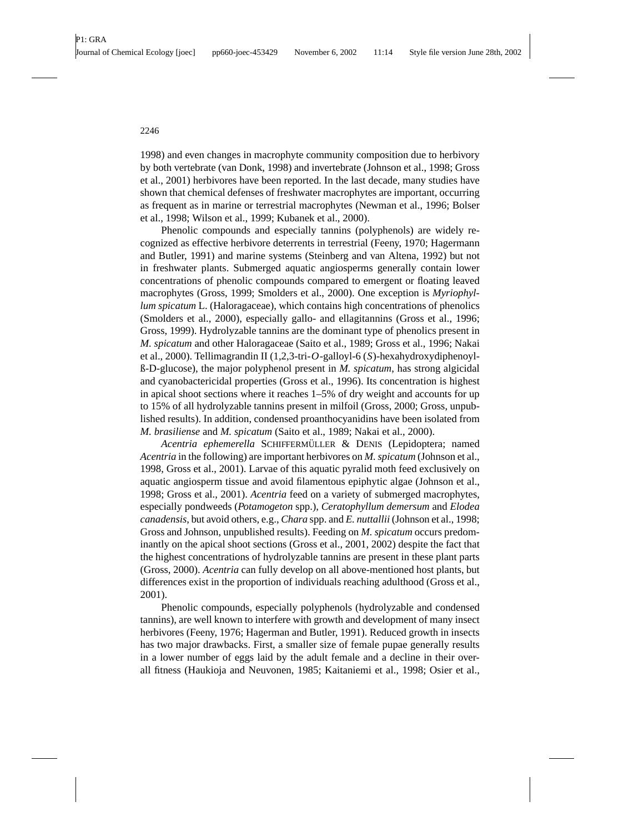1998) and even changes in macrophyte community composition due to herbivory by both vertebrate (van Donk, 1998) and invertebrate (Johnson et al., 1998; Gross et al., 2001) herbivores have been reported. In the last decade, many studies have shown that chemical defenses of freshwater macrophytes are important, occurring as frequent as in marine or terrestrial macrophytes (Newman et al., 1996; Bolser et al., 1998; Wilson et al., 1999; Kubanek et al., 2000).

Phenolic compounds and especially tannins (polyphenols) are widely recognized as effective herbivore deterrents in terrestrial (Feeny, 1970; Hagermann and Butler, 1991) and marine systems (Steinberg and van Altena, 1992) but not in freshwater plants. Submerged aquatic angiosperms generally contain lower concentrations of phenolic compounds compared to emergent or floating leaved macrophytes (Gross, 1999; Smolders et al., 2000). One exception is *Myriophyllum spicatum* L. (Haloragaceae), which contains high concentrations of phenolics (Smolders et al., 2000), especially gallo- and ellagitannins (Gross et al., 1996; Gross, 1999). Hydrolyzable tannins are the dominant type of phenolics present in *M. spicatum* and other Haloragaceae (Saito et al., 1989; Gross et al., 1996; Nakai et al., 2000). Tellimagrandin II (1,2,3-tri-*O*-galloyl-6 (*S*)-hexahydroxydiphenoylß-D-glucose), the major polyphenol present in *M. spicatum*, has strong algicidal and cyanobactericidal properties (Gross et al., 1996). Its concentration is highest in apical shoot sections where it reaches 1–5% of dry weight and accounts for up to 15% of all hydrolyzable tannins present in milfoil (Gross, 2000; Gross, unpublished results). In addition, condensed proanthocyanidins have been isolated from *M. brasiliense* and *M. spicatum* (Saito et al., 1989; Nakai et al., 2000).

Acentria ephemerella SCHIFFERMÜLLER & DENIS (Lepidoptera; named *Acentria* in the following) are important herbivores on *M. spicatum* (Johnson et al., 1998, Gross et al., 2001). Larvae of this aquatic pyralid moth feed exclusively on aquatic angiosperm tissue and avoid filamentous epiphytic algae (Johnson et al., 1998; Gross et al., 2001). *Acentria* feed on a variety of submerged macrophytes, especially pondweeds (*Potamogeton* spp.), *Ceratophyllum demersum* and *Elodea canadensis*, but avoid others, e.g., *Chara* spp. and *E. nuttallii* (Johnson et al., 1998; Gross and Johnson, unpublished results). Feeding on *M. spicatum* occurs predominantly on the apical shoot sections (Gross et al., 2001, 2002) despite the fact that the highest concentrations of hydrolyzable tannins are present in these plant parts (Gross, 2000). *Acentria* can fully develop on all above-mentioned host plants, but differences exist in the proportion of individuals reaching adulthood (Gross et al., 2001).

Phenolic compounds, especially polyphenols (hydrolyzable and condensed tannins), are well known to interfere with growth and development of many insect herbivores (Feeny, 1976; Hagerman and Butler, 1991). Reduced growth in insects has two major drawbacks. First, a smaller size of female pupae generally results in a lower number of eggs laid by the adult female and a decline in their overall fitness (Haukioja and Neuvonen, 1985; Kaitaniemi et al., 1998; Osier et al.,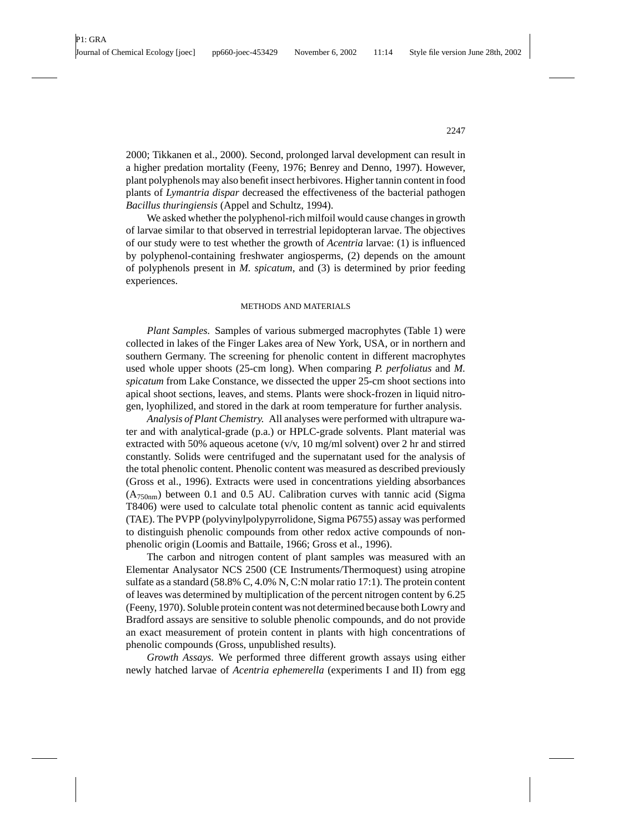2000; Tikkanen et al., 2000). Second, prolonged larval development can result in a higher predation mortality (Feeny, 1976; Benrey and Denno, 1997). However, plant polyphenols may also benefit insect herbivores. Higher tannin content in food plants of *Lymantria dispar* decreased the effectiveness of the bacterial pathogen *Bacillus thuringiensis* (Appel and Schultz, 1994).

We asked whether the polyphenol-rich milfoil would cause changes in growth of larvae similar to that observed in terrestrial lepidopteran larvae. The objectives of our study were to test whether the growth of *Acentria* larvae: (1) is influenced by polyphenol-containing freshwater angiosperms, (2) depends on the amount of polyphenols present in *M. spicatum*, and (3) is determined by prior feeding experiences.

## METHODS AND MATERIALS

*Plant Samples.* Samples of various submerged macrophytes (Table 1) were collected in lakes of the Finger Lakes area of New York, USA, or in northern and southern Germany. The screening for phenolic content in different macrophytes used whole upper shoots (25-cm long). When comparing *P. perfoliatus* and *M. spicatum* from Lake Constance, we dissected the upper 25-cm shoot sections into apical shoot sections, leaves, and stems. Plants were shock-frozen in liquid nitrogen, lyophilized, and stored in the dark at room temperature for further analysis.

*Analysis of Plant Chemistry.* All analyses were performed with ultrapure water and with analytical-grade (p.a.) or HPLC-grade solvents. Plant material was extracted with 50% aqueous acetone  $(v/v, 10 \text{ mg/ml solvent})$  over 2 hr and stirred constantly. Solids were centrifuged and the supernatant used for the analysis of the total phenolic content. Phenolic content was measured as described previously (Gross et al., 1996). Extracts were used in concentrations yielding absorbances  $(A_{750nm})$  between 0.1 and 0.5 AU. Calibration curves with tannic acid (Sigma) T8406) were used to calculate total phenolic content as tannic acid equivalents (TAE). The PVPP (polyvinylpolypyrrolidone, Sigma P6755) assay was performed to distinguish phenolic compounds from other redox active compounds of nonphenolic origin (Loomis and Battaile, 1966; Gross et al., 1996).

The carbon and nitrogen content of plant samples was measured with an Elementar Analysator NCS 2500 (CE Instruments/Thermoquest) using atropine sulfate as a standard (58.8% C, 4.0% N, C:N molar ratio 17:1). The protein content of leaves was determined by multiplication of the percent nitrogen content by 6.25 (Feeny, 1970). Soluble protein content was not determined because both Lowry and Bradford assays are sensitive to soluble phenolic compounds, and do not provide an exact measurement of protein content in plants with high concentrations of phenolic compounds (Gross, unpublished results).

*Growth Assays.* We performed three different growth assays using either newly hatched larvae of *Acentria ephemerella* (experiments I and II) from egg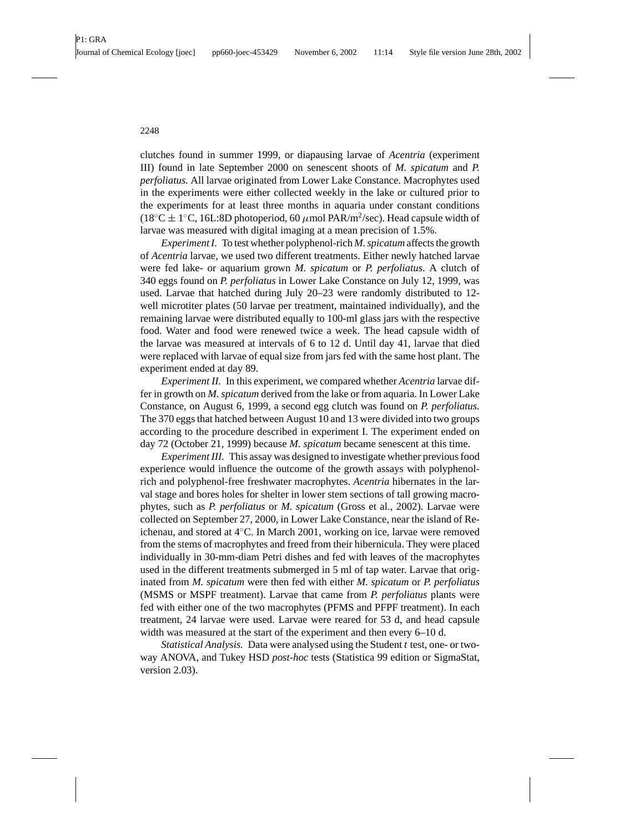clutches found in summer 1999, or diapausing larvae of *Acentria* (experiment III) found in late September 2000 on senescent shoots of *M. spicatum* and *P. perfoliatus.* All larvae originated from Lower Lake Constance. Macrophytes used in the experiments were either collected weekly in the lake or cultured prior to the experiments for at least three months in aquaria under constant conditions (18<sup>°</sup>C ± 1<sup>°</sup>C, 16L:8D photoperiod, 60  $\mu$ mol PAR/m<sup>2</sup>/sec). Head capsule width of larvae was measured with digital imaging at a mean precision of 1.5%.

*Experiment I.* To test whether polyphenol-rich *M. spicatum* affects the growth of *Acentria* larvae, we used two different treatments. Either newly hatched larvae were fed lake- or aquarium grown *M. spicatum* or *P. perfoliatus*. A clutch of 340 eggs found on *P. perfoliatus* in Lower Lake Constance on July 12, 1999, was used. Larvae that hatched during July 20–23 were randomly distributed to 12 well microtiter plates (50 larvae per treatment, maintained individually), and the remaining larvae were distributed equally to 100-ml glass jars with the respective food. Water and food were renewed twice a week. The head capsule width of the larvae was measured at intervals of 6 to 12 d. Until day 41, larvae that died were replaced with larvae of equal size from jars fed with the same host plant. The experiment ended at day 89.

*Experiment II.* In this experiment, we compared whether *Acentria* larvae differ in growth on *M. spicatum* derived from the lake or from aquaria. In Lower Lake Constance, on August 6, 1999, a second egg clutch was found on *P. perfoliatus.* The 370 eggs that hatched between August 10 and 13 were divided into two groups according to the procedure described in experiment I. The experiment ended on day 72 (October 21, 1999) because *M. spicatum* became senescent at this time.

*Experiment III.* This assay was designed to investigate whether previous food experience would influence the outcome of the growth assays with polyphenolrich and polyphenol-free freshwater macrophytes. *Acentria* hibernates in the larval stage and bores holes for shelter in lower stem sections of tall growing macrophytes, such as *P. perfoliatus* or *M. spicatum* (Gross et al., 2002). Larvae were collected on September 27, 2000, in Lower Lake Constance, near the island of Reichenau, and stored at 4◦C. In March 2001, working on ice, larvae were removed from the stems of macrophytes and freed from their hibernicula. They were placed individually in 30-mm-diam Petri dishes and fed with leaves of the macrophytes used in the different treatments submerged in 5 ml of tap water. Larvae that originated from *M. spicatum* were then fed with either *M. spicatum* or *P. perfoliatus* (MSMS or MSPF treatment). Larvae that came from *P. perfoliatus* plants were fed with either one of the two macrophytes (PFMS and PFPF treatment). In each treatment, 24 larvae were used. Larvae were reared for 53 d, and head capsule width was measured at the start of the experiment and then every 6–10 d.

*Statistical Analysis.* Data were analysed using the Student *t* test, one- or twoway ANOVA, and Tukey HSD *post-hoc* tests (Statistica 99 edition or SigmaStat, version 2.03).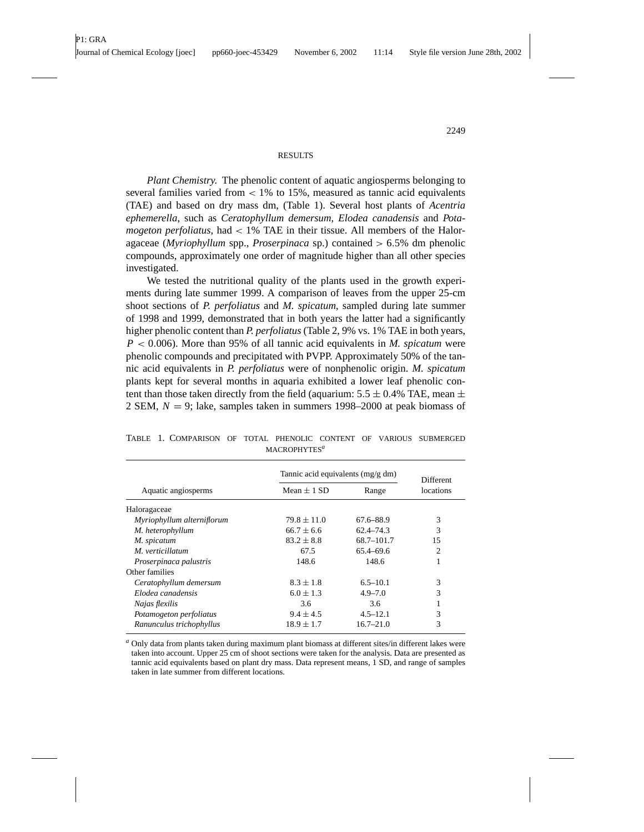#### **RESULTS**

*Plant Chemistry.* The phenolic content of aquatic angiosperms belonging to several families varied from  $\lt 1\%$  to 15%, measured as tannic acid equivalents (TAE) and based on dry mass dm, (Table 1). Several host plants of *Acentria ephemerella*, such as *Ceratophyllum demersum, Elodea canadensis* and *Potamogeton perfoliatus*, had < 1% TAE in their tissue. All members of the Haloragaceae (*Myriophyllum* spp., *Proserpinaca* sp.) contained > 6.5% dm phenolic compounds, approximately one order of magnitude higher than all other species investigated.

We tested the nutritional quality of the plants used in the growth experiments during late summer 1999. A comparison of leaves from the upper 25-cm shoot sections of *P. perfoliatus* and *M. spicatum*, sampled during late summer of 1998 and 1999, demonstrated that in both years the latter had a significantly higher phenolic content than *P. perfoliatus* (Table 2, 9% vs. 1% TAE in both years, *P* < 0.006). More than 95% of all tannic acid equivalents in *M. spicatum* were phenolic compounds and precipitated with PVPP. Approximately 50% of the tannic acid equivalents in *P. perfoliatus* were of nonphenolic origin. *M. spicatum* plants kept for several months in aquaria exhibited a lower leaf phenolic content than those taken directly from the field (aquarium:  $5.5 \pm 0.4\%$  TAE, mean  $\pm$ 2 SEM, *N* = 9; lake, samples taken in summers 1998–2000 at peak biomass of

|                            | Tannic acid equivalents (mg/g dm) | Different     |           |  |
|----------------------------|-----------------------------------|---------------|-----------|--|
| Aquatic angiosperms        | Mean $\pm$ 1 SD                   | Range         | locations |  |
| Haloragaceae               |                                   |               |           |  |
| Myriophyllum alterniflorum | $79.8 \pm 11.0$                   | 67.6–88.9     | 3         |  |
| M. heterophyllum           | $66.7 + 6.6$                      | $62.4 - 74.3$ | 3         |  |
| M. spicatum                | $83.2 + 8.8$                      | 68.7-101.7    | 15        |  |
| M. verticillatum           | 67.5                              | $65.4 - 69.6$ | 2         |  |
| Proserpinaca palustris     | 148.6                             | 148.6         |           |  |
| Other families             |                                   |               |           |  |
| Ceratophyllum demersum     | $8.3 \pm 1.8$                     | $6.5 - 10.1$  | 3         |  |
| Elodea canadensis          | $6.0 \pm 1.3$                     | $4.9 - 7.0$   | 3         |  |
| Najas flexilis             | 3.6                               | 3.6           |           |  |
| Potamogeton perfoliatus    | $9.4 + 4.5$                       | $4.5 - 12.1$  | 3         |  |
| Ranunculus trichophyllus   | $18.9 \pm 1.7$                    | $16.7 - 21.0$ | 3         |  |

TABLE 1. COMPARISON OF TOTAL PHENOLIC CONTENT OF VARIOUS SUBMERGED MACROPHYTES*<sup>a</sup>*

*<sup>a</sup>* Only data from plants taken during maximum plant biomass at different sites/in different lakes were taken into account. Upper 25 cm of shoot sections were taken for the analysis. Data are presented as tannic acid equivalents based on plant dry mass. Data represent means, 1 SD, and range of samples taken in late summer from different locations.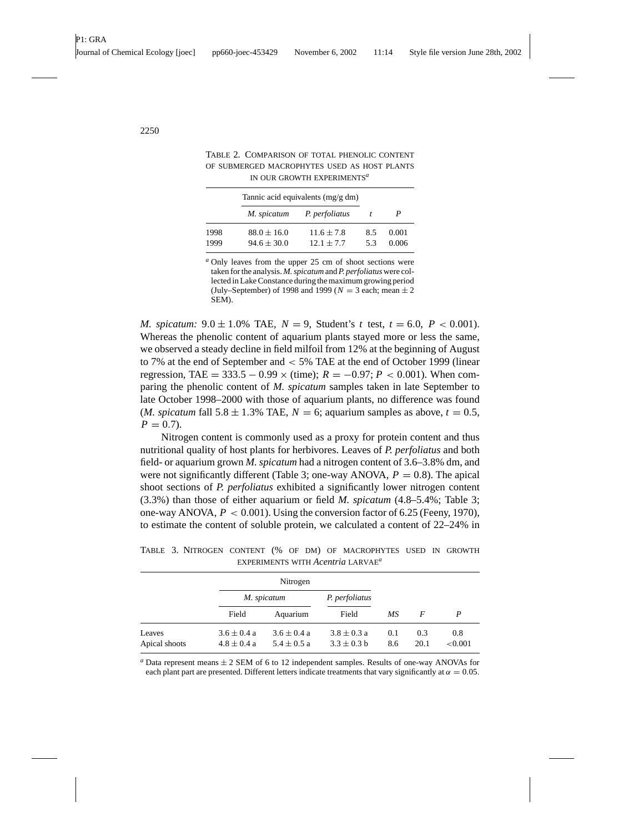|              | Tannic acid equivalents $(mg/g dm)$ |                                |          |                |
|--------------|-------------------------------------|--------------------------------|----------|----------------|
|              | M. spicatum                         | P. perfoliatus                 |          |                |
| 1998<br>1999 | $88.0 \pm 16.0$<br>$94.6 \pm 30.0$  | $11.6 \pm 7.8$<br>$12.1 + 7.7$ | 85<br>53 | 0.001<br>0.006 |

TABLE 2. COMPARISON OF TOTAL PHENOLIC CONTENT OF SUBMERGED MACROPHYTES USED AS HOST PLANTS IN OUR GROWTH EXPERIMENTS*<sup>a</sup>*

*<sup>a</sup>* Only leaves from the upper 25 cm of shoot sections were taken for the analysis. *M. spicatum* and *P. perfoliatus* were collected in Lake Constance during the maximum growing period (July–September) of 1998 and 1999 ( $N = 3$  each; mean  $\pm 2$ SEM).

*M. spicatum:* 9.0  $\pm$  1.0% TAE,  $N = 9$ , Student's *t* test,  $t = 6.0$ ,  $P < 0.001$ ). Whereas the phenolic content of aquarium plants stayed more or less the same, we observed a steady decline in field milfoil from 12% at the beginning of August to 7% at the end of September and < 5% TAE at the end of October 1999 (linear regression, TAE =  $333.5 - 0.99 \times (time)$ ;  $R = -0.97$ ;  $P < 0.001$ ). When comparing the phenolic content of *M. spicatum* samples taken in late September to late October 1998–2000 with those of aquarium plants, no difference was found (*M. spicatum* fall  $5.8 \pm 1.3\%$  TAE,  $N = 6$ ; aquarium samples as above,  $t = 0.5$ ,  $P = 0.7$ .

Nitrogen content is commonly used as a proxy for protein content and thus nutritional quality of host plants for herbivores. Leaves of *P. perfoliatus* and both field- or aquarium grown *M. spicatum* had a nitrogen content of 3.6–3.8% dm, and were not significantly different (Table 3; one-way ANOVA,  $P = 0.8$ ). The apical shoot sections of *P. perfoliatus* exhibited a significantly lower nitrogen content (3.3%) than those of either aquarium or field *M. spicatum* (4.8–5.4%; Table 3; one-way ANOVA,  $P < 0.001$ ). Using the conversion factor of 6.25 (Feeny, 1970), to estimate the content of soluble protein, we calculated a content of 22–24% in

|                         |                                    | Nitrogen                           |                                  |            |             |                |
|-------------------------|------------------------------------|------------------------------------|----------------------------------|------------|-------------|----------------|
|                         |                                    | M. spicatum                        |                                  |            |             |                |
|                         | Field                              | Aquarium                           | Field                            | МS         | F           | P              |
| Leaves<br>Apical shoots | $3.6 \pm 0.4 a$<br>$4.8 \pm 0.4 a$ | $3.6 \pm 0.4 a$<br>$5.4 \pm 0.5 a$ | $3.8 \pm 0.3 a$<br>$3.3 + 0.3 h$ | 0.1<br>8.6 | 0.3<br>20.1 | 0.8<br>< 0.001 |

TABLE 3. NITROGEN CONTENT (% OF DM) OF MACROPHYTES USED IN GROWTH EXPERIMENTS WITH *Acentria* LARVAE*<sup>a</sup>*

 $a$  Data represent means  $\pm 2$  SEM of 6 to 12 independent samples. Results of one-way ANOVAs for each plant part are presented. Different letters indicate treatments that vary significantly at  $\alpha = 0.05$ .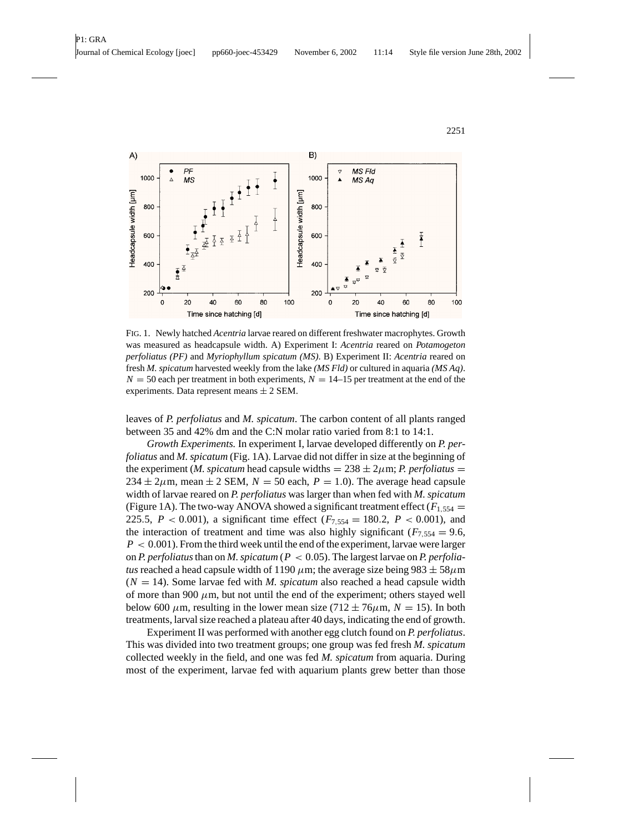

FIG. 1. Newly hatched *Acentria* larvae reared on different freshwater macrophytes. Growth was measured as headcapsule width. A) Experiment I: *Acentria* reared on *Potamogeton perfoliatus (PF)* and *Myriophyllum spicatum (MS)*. B) Experiment II: *Acentria* reared on fresh *M. spicatum* harvested weekly from the lake *(MS Fld)* or cultured in aquaria *(MS Aq)*.  $N = 50$  each per treatment in both experiments,  $N = 14-15$  per treatment at the end of the experiments. Data represent means  $\pm 2$  SEM.

leaves of *P. perfoliatus* and *M. spicatum*. The carbon content of all plants ranged between 35 and 42% dm and the C:N molar ratio varied from 8:1 to 14:1.

*Growth Experiments.* In experiment I, larvae developed differently on *P. perfoliatus* and *M. spicatum* (Fig. 1A). Larvae did not differ in size at the beginning of the experiment (*M. spicatum* head capsule widths  $= 238 \pm 2 \mu m$ ; *P. perfoliatus*  $=$  $234 \pm 2\mu$ m, mean  $\pm 2$  SEM,  $N = 50$  each,  $P = 1.0$ ). The average head capsule width of larvae reared on *P. perfoliatus* was larger than when fed with *M. spicatum* (Figure 1A). The two-way ANOVA showed a significant treatment effect ( $F_{1,554}$  = 225.5,  $P < 0.001$ ), a significant time effect ( $F_{7,554} = 180.2$ ,  $P < 0.001$ ), and the interaction of treatment and time was also highly significant ( $F_{7,554} = 9.6$ ,  $P < 0.001$ ). From the third week until the end of the experiment, larvae were larger on *P. perfoliatus*than on *M. spicatum* (*P* < 0.05). The largest larvae on *P. perfoliatus* reached a head capsule width of 1190  $\mu$ m; the average size being 983  $\pm$  58 $\mu$ m  $(N = 14)$ . Some larvae fed with *M. spicatum* also reached a head capsule width of more than 900  $\mu$ m, but not until the end of the experiment; others stayed well below 600  $\mu$ m, resulting in the lower mean size (712  $\pm$  76 $\mu$ m, *N* = 15). In both treatments, larval size reached a plateau after 40 days, indicating the end of growth.

Experiment II was performed with another egg clutch found on *P. perfoliatus*. This was divided into two treatment groups; one group was fed fresh *M. spicatum* collected weekly in the field, and one was fed *M. spicatum* from aquaria. During most of the experiment, larvae fed with aquarium plants grew better than those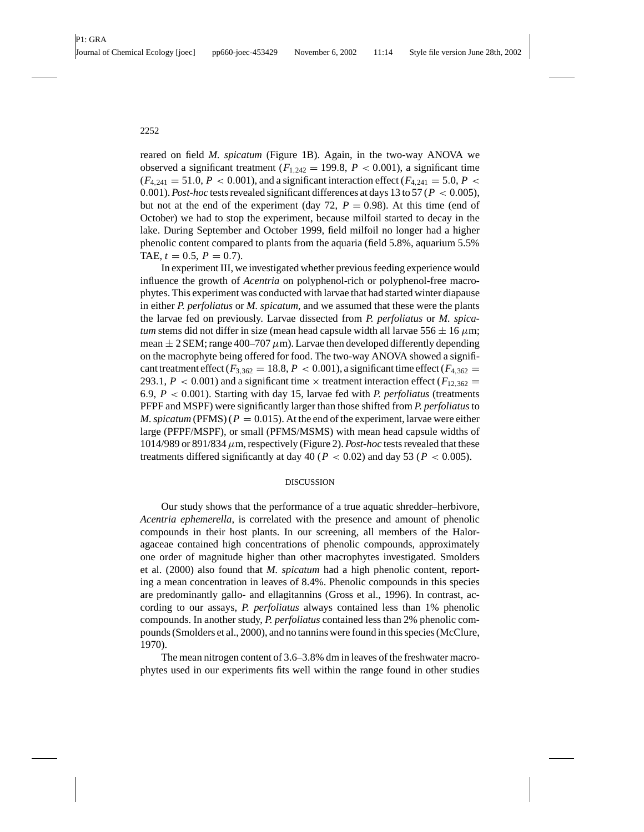reared on field *M. spicatum* (Figure 1B). Again, in the two-way ANOVA we observed a significant treatment  $(F_{1,242} = 199.8, P < 0.001)$ , a significant time  $(F_{4,241} = 51.0, P < 0.001)$ , and a significant interaction effect  $(F_{4,241} = 5.0, P <$ 0.001). *Post-hoc* tests revealed significant differences at days 13 to 57 (*P* < 0.005), but not at the end of the experiment (day 72,  $P = 0.98$ ). At this time (end of October) we had to stop the experiment, because milfoil started to decay in the lake. During September and October 1999, field milfoil no longer had a higher phenolic content compared to plants from the aquaria (field 5.8%, aquarium 5.5% TAE,  $t = 0.5$ ,  $P = 0.7$ ).

In experiment III, we investigated whether previous feeding experience would influence the growth of *Acentria* on polyphenol-rich or polyphenol-free macrophytes. This experiment was conducted with larvae that had started winter diapause in either *P. perfoliatus* or *M. spicatum*, and we assumed that these were the plants the larvae fed on previously. Larvae dissected from *P. perfoliatus* or *M. spicatum* stems did not differ in size (mean head capsule width all larvae  $556 \pm 16 \,\mu \text{m}$ ; mean  $\pm 2$  SEM; range 400–707  $\mu$ m). Larvae then developed differently depending on the macrophyte being offered for food. The two-way ANOVA showed a significant treatment effect  $(F_{3,362} = 18.8, P < 0.001)$ , a significant time effect  $(F_{4,362} =$ 293.1,  $P < 0.001$ ) and a significant time  $\times$  treatment interaction effect ( $F_{12,362} =$ 6.9, *P* < 0.001). Starting with day 15, larvae fed with *P. perfoliatus* (treatments PFPF and MSPF) were significantly larger than those shifted from *P. perfoliatus*to *M. spicatum* (PFMS) ( $P = 0.015$ ). At the end of the experiment, larvae were either large (PFPF/MSPF), or small (PFMS/MSMS) with mean head capsule widths of 1014/989 or 891/834  $\mu$ m, respectively (Figure 2). *Post-hoc* tests revealed that these treatments differed significantly at day 40 ( $P < 0.02$ ) and day 53 ( $P < 0.005$ ).

## DISCUSSION

Our study shows that the performance of a true aquatic shredder–herbivore, *Acentria ephemerella*, is correlated with the presence and amount of phenolic compounds in their host plants. In our screening, all members of the Haloragaceae contained high concentrations of phenolic compounds, approximately one order of magnitude higher than other macrophytes investigated. Smolders et al. (2000) also found that *M. spicatum* had a high phenolic content, reporting a mean concentration in leaves of 8.4%. Phenolic compounds in this species are predominantly gallo- and ellagitannins (Gross et al., 1996). In contrast, according to our assays, *P. perfoliatus* always contained less than 1% phenolic compounds. In another study, *P. perfoliatus* contained less than 2% phenolic compounds (Smolders et al., 2000), and no tannins were found in this species (McClure, 1970).

The mean nitrogen content of 3.6–3.8% dm in leaves of the freshwater macrophytes used in our experiments fits well within the range found in other studies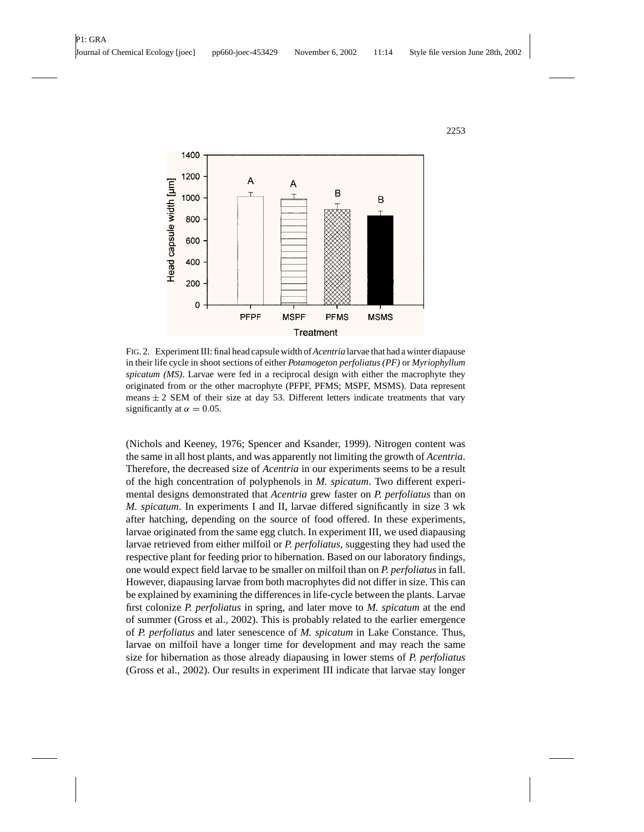

FIG. 2. Experiment III: final head capsule width of*Acentria* larvae that had a winter diapause in their life cycle in shoot sections of either *Potamogeton perfoliatus (PF)* or *Myriophyllum spicatum (MS)*. Larvae were fed in a reciprocal design with either the macrophyte they originated from or the other macrophyte (PFPF, PFMS; MSPF, MSMS). Data represent means  $\pm 2$  SEM of their size at day 53. Different letters indicate treatments that vary significantly at  $\alpha = 0.05$ .

(Nichols and Keeney, 1976; Spencer and Ksander, 1999). Nitrogen content was the same in all host plants, and was apparently not limiting the growth of *Acentria*. Therefore, the decreased size of *Acentria* in our experiments seems to be a result of the high concentration of polyphenols in *M. spicatum*. Two different experimental designs demonstrated that *Acentria* grew faster on *P. perfoliatus* than on *M. spicatum*. In experiments I and II, larvae differed significantly in size 3 wk after hatching, depending on the source of food offered. In these experiments, larvae originated from the same egg clutch. In experiment III, we used diapausing larvae retrieved from either milfoil or *P. perfoliatus*, suggesting they had used the respective plant for feeding prior to hibernation. Based on our laboratory findings, one would expect field larvae to be smaller on milfoil than on *P. perfoliatus* in fall. However, diapausing larvae from both macrophytes did not differ in size. This can be explained by examining the differences in life-cycle between the plants. Larvae first colonize *P. perfoliatus* in spring, and later move to *M. spicatum* at the end of summer (Gross et al., 2002). This is probably related to the earlier emergence of *P. perfoliatus* and later senescence of *M. spicatum* in Lake Constance. Thus, larvae on milfoil have a longer time for development and may reach the same size for hibernation as those already diapausing in lower stems of *P. perfoliatus* (Gross et al., 2002). Our results in experiment III indicate that larvae stay longer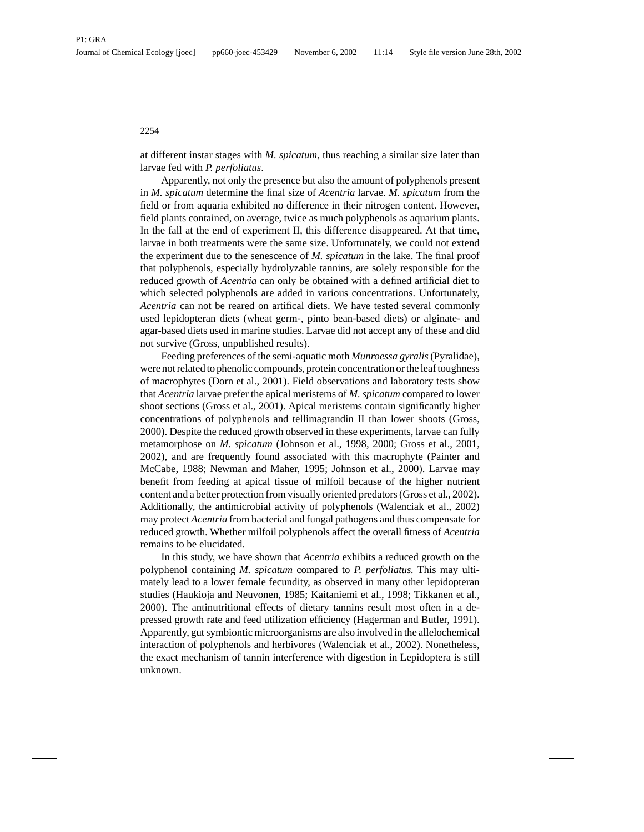at different instar stages with *M. spicatum*, thus reaching a similar size later than larvae fed with *P. perfoliatus*.

Apparently, not only the presence but also the amount of polyphenols present in *M. spicatum* determine the final size of *Acentria* larvae. *M. spicatum* from the field or from aquaria exhibited no difference in their nitrogen content. However, field plants contained, on average, twice as much polyphenols as aquarium plants. In the fall at the end of experiment II, this difference disappeared. At that time, larvae in both treatments were the same size. Unfortunately, we could not extend the experiment due to the senescence of *M. spicatum* in the lake. The final proof that polyphenols, especially hydrolyzable tannins, are solely responsible for the reduced growth of *Acentria* can only be obtained with a defined artificial diet to which selected polyphenols are added in various concentrations. Unfortunately, *Acentria* can not be reared on artifical diets. We have tested several commonly used lepidopteran diets (wheat germ-, pinto bean-based diets) or alginate- and agar-based diets used in marine studies. Larvae did not accept any of these and did not survive (Gross, unpublished results).

Feeding preferences of the semi-aquatic moth *Munroessa gyralis*(Pyralidae), were not related to phenolic compounds, protein concentration or the leaf toughness of macrophytes (Dorn et al., 2001). Field observations and laboratory tests show that *Acentria* larvae prefer the apical meristems of *M. spicatum* compared to lower shoot sections (Gross et al., 2001). Apical meristems contain significantly higher concentrations of polyphenols and tellimagrandin II than lower shoots (Gross, 2000). Despite the reduced growth observed in these experiments, larvae can fully metamorphose on *M. spicatum* (Johnson et al., 1998, 2000; Gross et al., 2001, 2002), and are frequently found associated with this macrophyte (Painter and McCabe, 1988; Newman and Maher, 1995; Johnson et al., 2000). Larvae may benefit from feeding at apical tissue of milfoil because of the higher nutrient content and a better protection from visually oriented predators (Gross et al., 2002). Additionally, the antimicrobial activity of polyphenols (Walenciak et al., 2002) may protect *Acentria* from bacterial and fungal pathogens and thus compensate for reduced growth. Whether milfoil polyphenols affect the overall fitness of *Acentria* remains to be elucidated.

In this study, we have shown that *Acentria* exhibits a reduced growth on the polyphenol containing *M. spicatum* compared to *P. perfoliatus.* This may ultimately lead to a lower female fecundity, as observed in many other lepidopteran studies (Haukioja and Neuvonen, 1985; Kaitaniemi et al., 1998; Tikkanen et al., 2000). The antinutritional effects of dietary tannins result most often in a depressed growth rate and feed utilization efficiency (Hagerman and Butler, 1991). Apparently, gut symbiontic microorganisms are also involved in the allelochemical interaction of polyphenols and herbivores (Walenciak et al., 2002). Nonetheless, the exact mechanism of tannin interference with digestion in Lepidoptera is still unknown.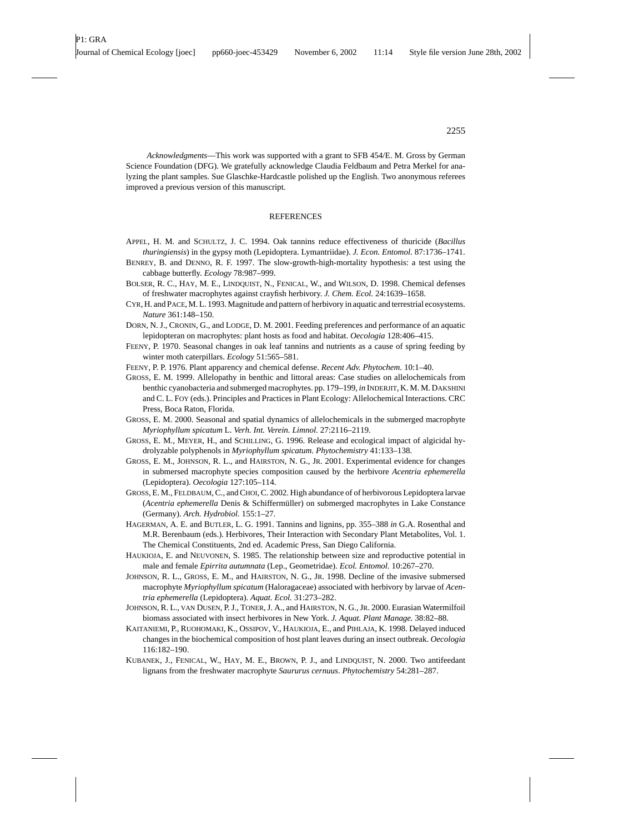*Acknowledgments*—This work was supported with a grant to SFB 454/E. M. Gross by German Science Foundation (DFG). We gratefully acknowledge Claudia Feldbaum and Petra Merkel for analyzing the plant samples. Sue Glaschke-Hardcastle polished up the English. Two anonymous referees improved a previous version of this manuscript.

#### **REFERENCES**

- APPEL, H. M. and SCHULTZ, J. C. 1994. Oak tannins reduce effectiveness of thuricide (*Bacillus thuringiensis*) in the gypsy moth (Lepidoptera. Lymantriidae). *J. Econ. Entomol.* 87:1736–1741.
- BENREY, B. and DENNO, R. F. 1997. The slow-growth-high-mortality hypothesis: a test using the cabbage butterfly. *Ecology* 78:987–999.
- BOLSER, R. C., HAY, M. E., LINDQUIST, N., FENICAL, W., and WILSON, D. 1998. Chemical defenses of freshwater macrophytes against crayfish herbivory. *J. Chem. Ecol.* 24:1639–1658.
- CYR, H. and PACE, M. L. 1993. Magnitude and pattern of herbivory in aquatic and terrestrial ecosystems. *Nature* 361:148–150.
- DORN, N. J., CRONIN, G., and LODGE, D. M. 2001. Feeding preferences and performance of an aquatic lepidopteran on macrophytes: plant hosts as food and habitat. *Oecologia* 128:406–415.
- FEENY, P. 1970. Seasonal changes in oak leaf tannins and nutrients as a cause of spring feeding by winter moth caterpillars. *Ecology* 51:565–581.
- FEENY, P. P. 1976. Plant apparency and chemical defense. *Recent Adv. Phytochem.* 10:1–40.
- GROSS, E. M. 1999. Allelopathy in benthic and littoral areas: Case studies on allelochemicals from benthic cyanobacteria and submerged macrophytes. pp. 179–199, *in* INDERJIT, K. M. M. DAKSHINI and C. L. FOY (eds.). Principles and Practices in Plant Ecology: Allelochemical Interactions. CRC Press, Boca Raton, Florida.
- GROSS, E. M. 2000. Seasonal and spatial dynamics of allelochemicals in the submerged macrophyte *Myriophyllum spicatum* L. *Verh. Int. Verein. Limnol.* 27:2116–2119.
- GROSS, E. M., MEYER, H., and SCHILLING, G. 1996. Release and ecological impact of algicidal hydrolyzable polyphenols in *Myriophyllum spicatum. Phytochemistry* 41:133–138.
- GROSS, E. M., JOHNSON, R. L., and HAIRSTON, N. G., JR. 2001. Experimental evidence for changes in submersed macrophyte species composition caused by the herbivore *Acentria ephemerella* (Lepidoptera). *Oecologia* 127:105–114.
- GROSS, E. M., FELDBAUM, C., and CHOI, C. 2002. High abundance of of herbivorous Lepidoptera larvae (*Acentria ephemerella* Denis & Schiffermüller) on submerged macrophytes in Lake Constance (Germany). *Arch. Hydrobiol.* 155:1–27.
- HAGERMAN, A. E. and BUTLER, L. G. 1991. Tannins and lignins, pp. 355–388 *in* G.A. Rosenthal and M.R. Berenbaum (eds.). Herbivores, Their Interaction with Secondary Plant Metabolites, Vol. 1. The Chemical Constituents, 2nd ed. Academic Press, San Diego California.
- HAUKIOJA, E. and NEUVONEN, S. 1985. The relationship between size and reproductive potential in male and female *Epirrita autumnata* (Lep., Geometridae). *Ecol. Entomol.* 10:267–270.
- JOHNSON, R. L., GROSS, E. M., and HAIRSTON, N. G., JR. 1998. Decline of the invasive submersed macrophyte *Myriophyllum spicatum* (Haloragaceae) associated with herbivory by larvae of *Acentria ephemerella* (Lepidoptera). *Aquat. Ecol.* 31:273–282.
- JOHNSON, R. L., VAN DUSEN, P. J., TONER, J. A., and HAIRSTON, N. G., JR. 2000. Eurasian Watermilfoil biomass associated with insect herbivores in New York. *J. Aquat. Plant Manage.* 38:82–88.
- KAITANIEMI, P., RUOHOMAKI, K., OSSIPOV, V., HAUKIOJA, E., and PIHLAJA, K. 1998. Delayed induced changes in the biochemical composition of host plant leaves during an insect outbreak. *Oecologia* 116:182–190.
- KUBANEK, J., FENICAL, W., HAY, M. E., BROWN, P. J., and LINDQUIST, N. 2000. Two antifeedant lignans from the freshwater macrophyte *Saururus cernuus*. *Phytochemistry* 54:281–287.